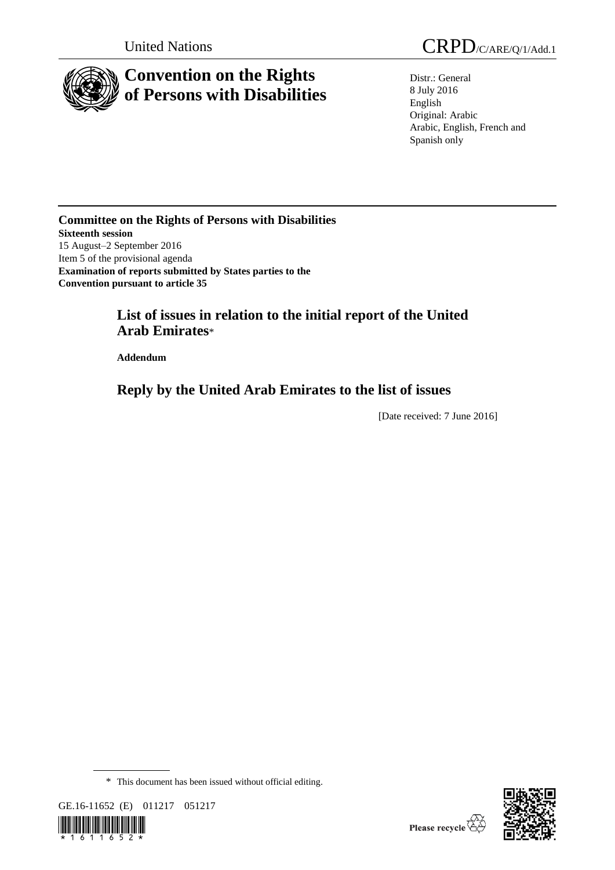

# **Convention on the Rights of Persons with Disabilities**

Distr.: General 8 July 2016 English Original: Arabic Arabic, English, French and Spanish only

**Committee on the Rights of Persons with Disabilities Sixteenth session** 15 August–2 September 2016 Item 5 of the provisional agenda **Examination of reports submitted by States parties to the Convention pursuant to article 35**

## **List of issues in relation to the initial report of the United Arab Emirates**\*

**Addendum**

## **Reply by the United Arab Emirates to the list of issues**

[Date received: 7 June 2016]

<sup>\*</sup> This document has been issued without official editing.



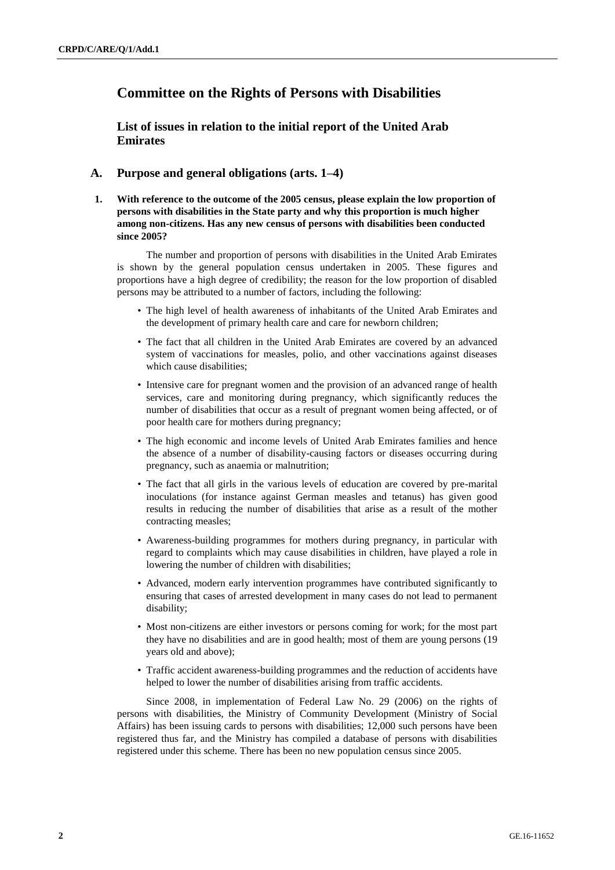## **Committee on the Rights of Persons with Disabilities**

**List of issues in relation to the initial report of the United Arab Emirates**

## **A. Purpose and general obligations (arts. 1–4)**

**1. With reference to the outcome of the 2005 census, please explain the low proportion of persons with disabilities in the State party and why this proportion is much higher among non-citizens. Has any new census of persons with disabilities been conducted since 2005?** 

The number and proportion of persons with disabilities in the United Arab Emirates is shown by the general population census undertaken in 2005. These figures and proportions have a high degree of credibility; the reason for the low proportion of disabled persons may be attributed to a number of factors, including the following:

- The high level of health awareness of inhabitants of the United Arab Emirates and the development of primary health care and care for newborn children;
- The fact that all children in the United Arab Emirates are covered by an advanced system of vaccinations for measles, polio, and other vaccinations against diseases which cause disabilities;
- Intensive care for pregnant women and the provision of an advanced range of health services, care and monitoring during pregnancy, which significantly reduces the number of disabilities that occur as a result of pregnant women being affected, or of poor health care for mothers during pregnancy;
- The high economic and income levels of United Arab Emirates families and hence the absence of a number of disability-causing factors or diseases occurring during pregnancy, such as anaemia or malnutrition;
- The fact that all girls in the various levels of education are covered by pre-marital inoculations (for instance against German measles and tetanus) has given good results in reducing the number of disabilities that arise as a result of the mother contracting measles;
- Awareness-building programmes for mothers during pregnancy, in particular with regard to complaints which may cause disabilities in children, have played a role in lowering the number of children with disabilities;
- Advanced, modern early intervention programmes have contributed significantly to ensuring that cases of arrested development in many cases do not lead to permanent disability;
- Most non-citizens are either investors or persons coming for work; for the most part they have no disabilities and are in good health; most of them are young persons (19 years old and above);
- Traffic accident awareness-building programmes and the reduction of accidents have helped to lower the number of disabilities arising from traffic accidents.

Since 2008, in implementation of Federal Law No. 29 (2006) on the rights of persons with disabilities, the Ministry of Community Development (Ministry of Social Affairs) has been issuing cards to persons with disabilities; 12,000 such persons have been registered thus far, and the Ministry has compiled a database of persons with disabilities registered under this scheme. There has been no new population census since 2005.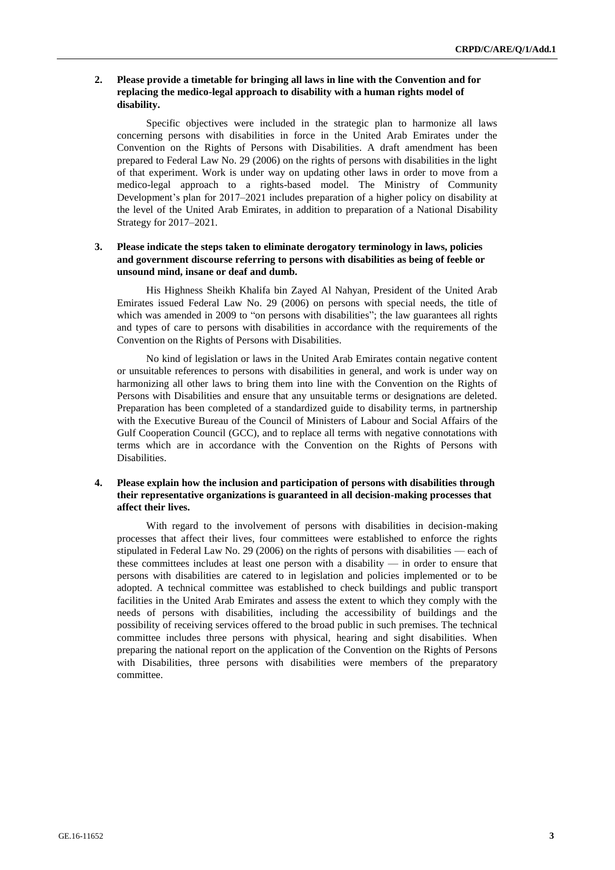#### **2. Please provide a timetable for bringing all laws in line with the Convention and for replacing the medico-legal approach to disability with a human rights model of disability.**

Specific objectives were included in the strategic plan to harmonize all laws concerning persons with disabilities in force in the United Arab Emirates under the Convention on the Rights of Persons with Disabilities. A draft amendment has been prepared to Federal Law No. 29 (2006) on the rights of persons with disabilities in the light of that experiment. Work is under way on updating other laws in order to move from a medico-legal approach to a rights-based model. The Ministry of Community Development's plan for 2017–2021 includes preparation of a higher policy on disability at the level of the United Arab Emirates, in addition to preparation of a National Disability Strategy for 2017–2021.

#### **3. Please indicate the steps taken to eliminate derogatory terminology in laws, policies and government discourse referring to persons with disabilities as being of feeble or unsound mind, insane or deaf and dumb.**

His Highness Sheikh Khalifa bin Zayed Al Nahyan, President of the United Arab Emirates issued Federal Law No. 29 (2006) on persons with special needs, the title of which was amended in 2009 to "on persons with disabilities"; the law guarantees all rights and types of care to persons with disabilities in accordance with the requirements of the Convention on the Rights of Persons with Disabilities.

No kind of legislation or laws in the United Arab Emirates contain negative content or unsuitable references to persons with disabilities in general, and work is under way on harmonizing all other laws to bring them into line with the Convention on the Rights of Persons with Disabilities and ensure that any unsuitable terms or designations are deleted. Preparation has been completed of a standardized guide to disability terms, in partnership with the Executive Bureau of the Council of Ministers of Labour and Social Affairs of the Gulf Cooperation Council (GCC), and to replace all terms with negative connotations with terms which are in accordance with the Convention on the Rights of Persons with Disabilities.

#### **4. Please explain how the inclusion and participation of persons with disabilities through their representative organizations is guaranteed in all decision-making processes that affect their lives.**

With regard to the involvement of persons with disabilities in decision-making processes that affect their lives, four committees were established to enforce the rights stipulated in Federal Law No. 29 (2006) on the rights of persons with disabilities — each of these committees includes at least one person with a disability — in order to ensure that persons with disabilities are catered to in legislation and policies implemented or to be adopted. A technical committee was established to check buildings and public transport facilities in the United Arab Emirates and assess the extent to which they comply with the needs of persons with disabilities, including the accessibility of buildings and the possibility of receiving services offered to the broad public in such premises. The technical committee includes three persons with physical, hearing and sight disabilities. When preparing the national report on the application of the Convention on the Rights of Persons with Disabilities, three persons with disabilities were members of the preparatory committee.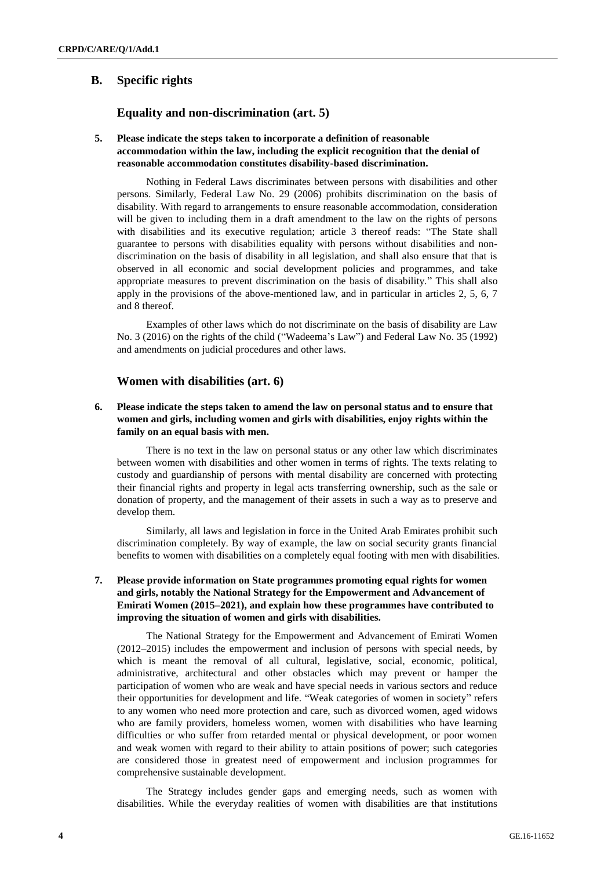## **B. Specific rights**

## **Equality and non-discrimination (art. 5)**

#### **5. Please indicate the steps taken to incorporate a definition of reasonable accommodation within the law, including the explicit recognition that the denial of reasonable accommodation constitutes disability-based discrimination.**

Nothing in Federal Laws discriminates between persons with disabilities and other persons. Similarly, Federal Law No. 29 (2006) prohibits discrimination on the basis of disability. With regard to arrangements to ensure reasonable accommodation, consideration will be given to including them in a draft amendment to the law on the rights of persons with disabilities and its executive regulation; article 3 thereof reads: "The State shall guarantee to persons with disabilities equality with persons without disabilities and nondiscrimination on the basis of disability in all legislation, and shall also ensure that that is observed in all economic and social development policies and programmes, and take appropriate measures to prevent discrimination on the basis of disability." This shall also apply in the provisions of the above-mentioned law, and in particular in articles 2, 5, 6, 7 and 8 thereof.

Examples of other laws which do not discriminate on the basis of disability are Law No. 3 (2016) on the rights of the child ("Wadeema's Law") and Federal Law No. 35 (1992) and amendments on judicial procedures and other laws.

### **Women with disabilities (art. 6)**

#### **6. Please indicate the steps taken to amend the law on personal status and to ensure that women and girls, including women and girls with disabilities, enjoy rights within the family on an equal basis with men.**

There is no text in the law on personal status or any other law which discriminates between women with disabilities and other women in terms of rights. The texts relating to custody and guardianship of persons with mental disability are concerned with protecting their financial rights and property in legal acts transferring ownership, such as the sale or donation of property, and the management of their assets in such a way as to preserve and develop them.

Similarly, all laws and legislation in force in the United Arab Emirates prohibit such discrimination completely. By way of example, the law on social security grants financial benefits to women with disabilities on a completely equal footing with men with disabilities.

#### **7. Please provide information on State programmes promoting equal rights for women and girls, notably the National Strategy for the Empowerment and Advancement of Emirati Women (2015–2021), and explain how these programmes have contributed to improving the situation of women and girls with disabilities.**

The National Strategy for the Empowerment and Advancement of Emirati Women (2012–2015) includes the empowerment and inclusion of persons with special needs, by which is meant the removal of all cultural, legislative, social, economic, political, administrative, architectural and other obstacles which may prevent or hamper the participation of women who are weak and have special needs in various sectors and reduce their opportunities for development and life. "Weak categories of women in society" refers to any women who need more protection and care, such as divorced women, aged widows who are family providers, homeless women, women with disabilities who have learning difficulties or who suffer from retarded mental or physical development, or poor women and weak women with regard to their ability to attain positions of power; such categories are considered those in greatest need of empowerment and inclusion programmes for comprehensive sustainable development.

The Strategy includes gender gaps and emerging needs, such as women with disabilities. While the everyday realities of women with disabilities are that institutions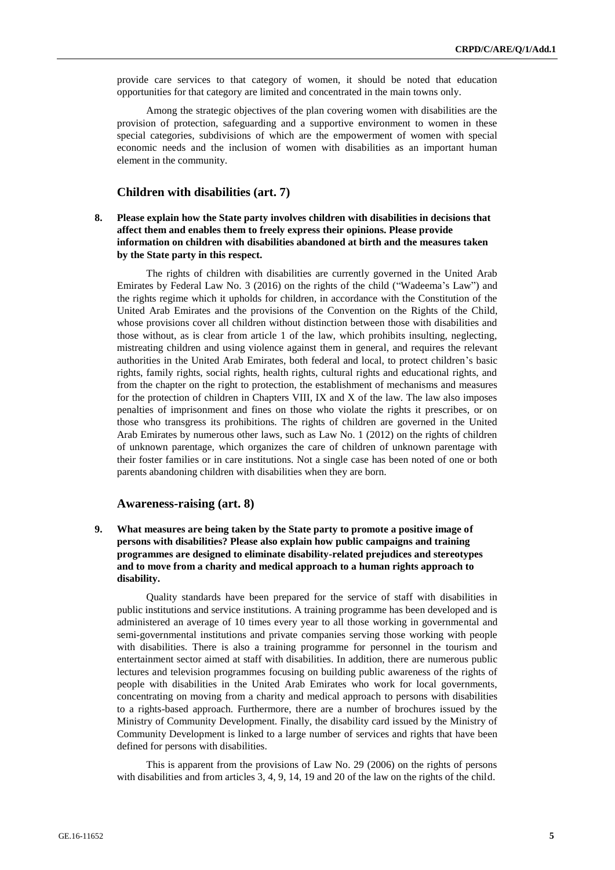provide care services to that category of women, it should be noted that education opportunities for that category are limited and concentrated in the main towns only.

Among the strategic objectives of the plan covering women with disabilities are the provision of protection, safeguarding and a supportive environment to women in these special categories, subdivisions of which are the empowerment of women with special economic needs and the inclusion of women with disabilities as an important human element in the community.

### **Children with disabilities (art. 7)**

**8. Please explain how the State party involves children with disabilities in decisions that affect them and enables them to freely express their opinions. Please provide information on children with disabilities abandoned at birth and the measures taken by the State party in this respect.** 

The rights of children with disabilities are currently governed in the United Arab Emirates by Federal Law No. 3 (2016) on the rights of the child ("Wadeema's Law") and the rights regime which it upholds for children, in accordance with the Constitution of the United Arab Emirates and the provisions of the Convention on the Rights of the Child, whose provisions cover all children without distinction between those with disabilities and those without, as is clear from article 1 of the law, which prohibits insulting, neglecting, mistreating children and using violence against them in general, and requires the relevant authorities in the United Arab Emirates, both federal and local, to protect children's basic rights, family rights, social rights, health rights, cultural rights and educational rights, and from the chapter on the right to protection, the establishment of mechanisms and measures for the protection of children in Chapters VIII, IX and X of the law. The law also imposes penalties of imprisonment and fines on those who violate the rights it prescribes, or on those who transgress its prohibitions. The rights of children are governed in the United Arab Emirates by numerous other laws, such as Law No. 1 (2012) on the rights of children of unknown parentage, which organizes the care of children of unknown parentage with their foster families or in care institutions. Not a single case has been noted of one or both parents abandoning children with disabilities when they are born.

#### **Awareness-raising (art. 8)**

**9. What measures are being taken by the State party to promote a positive image of persons with disabilities? Please also explain how public campaigns and training programmes are designed to eliminate disability-related prejudices and stereotypes and to move from a charity and medical approach to a human rights approach to disability.**

Quality standards have been prepared for the service of staff with disabilities in public institutions and service institutions. A training programme has been developed and is administered an average of 10 times every year to all those working in governmental and semi-governmental institutions and private companies serving those working with people with disabilities. There is also a training programme for personnel in the tourism and entertainment sector aimed at staff with disabilities. In addition, there are numerous public lectures and television programmes focusing on building public awareness of the rights of people with disabilities in the United Arab Emirates who work for local governments, concentrating on moving from a charity and medical approach to persons with disabilities to a rights-based approach. Furthermore, there are a number of brochures issued by the Ministry of Community Development. Finally, the disability card issued by the Ministry of Community Development is linked to a large number of services and rights that have been defined for persons with disabilities.

This is apparent from the provisions of Law No. 29 (2006) on the rights of persons with disabilities and from articles 3, 4, 9, 14, 19 and 20 of the law on the rights of the child.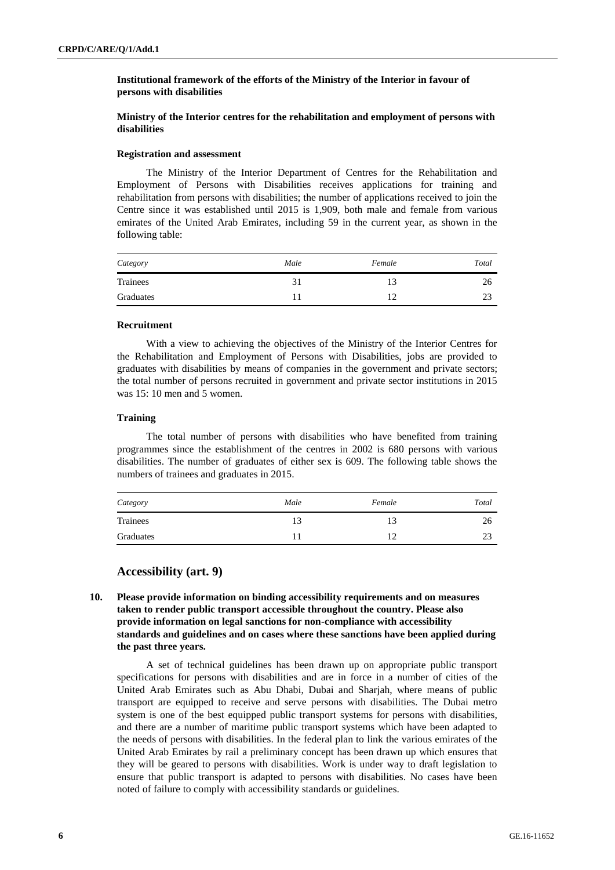#### **Institutional framework of the efforts of the Ministry of the Interior in favour of persons with disabilities**

#### **Ministry of the Interior centres for the rehabilitation and employment of persons with disabilities**

#### **Registration and assessment**

The Ministry of the Interior Department of Centres for the Rehabilitation and Employment of Persons with Disabilities receives applications for training and rehabilitation from persons with disabilities; the number of applications received to join the Centre since it was established until 2015 is 1,909, both male and female from various emirates of the United Arab Emirates, including 59 in the current year, as shown in the following table:

| Category  | Male | Female | Total |
|-----------|------|--------|-------|
| Trainees  |      |        | 26    |
| Graduates |      |        |       |

#### **Recruitment**

With a view to achieving the objectives of the Ministry of the Interior Centres for the Rehabilitation and Employment of Persons with Disabilities, jobs are provided to graduates with disabilities by means of companies in the government and private sectors; the total number of persons recruited in government and private sector institutions in 2015 was 15: 10 men and 5 women.

#### **Training**

The total number of persons with disabilities who have benefited from training programmes since the establishment of the centres in 2002 is 680 persons with various disabilities. The number of graduates of either sex is 609. The following table shows the numbers of trainees and graduates in 2015.

| Category  | Male | Female | Total              |
|-----------|------|--------|--------------------|
| Trainees  | 13   |        | 26                 |
| Graduates |      |        | $2^{\circ}$<br>ر ے |

#### **Accessibility (art. 9)**

**10. Please provide information on binding accessibility requirements and on measures taken to render public transport accessible throughout the country. Please also provide information on legal sanctions for non-compliance with accessibility standards and guidelines and on cases where these sanctions have been applied during the past three years.**

A set of technical guidelines has been drawn up on appropriate public transport specifications for persons with disabilities and are in force in a number of cities of the United Arab Emirates such as Abu Dhabi, Dubai and Sharjah, where means of public transport are equipped to receive and serve persons with disabilities. The Dubai metro system is one of the best equipped public transport systems for persons with disabilities, and there are a number of maritime public transport systems which have been adapted to the needs of persons with disabilities. In the federal plan to link the various emirates of the United Arab Emirates by rail a preliminary concept has been drawn up which ensures that they will be geared to persons with disabilities. Work is under way to draft legislation to ensure that public transport is adapted to persons with disabilities. No cases have been noted of failure to comply with accessibility standards or guidelines.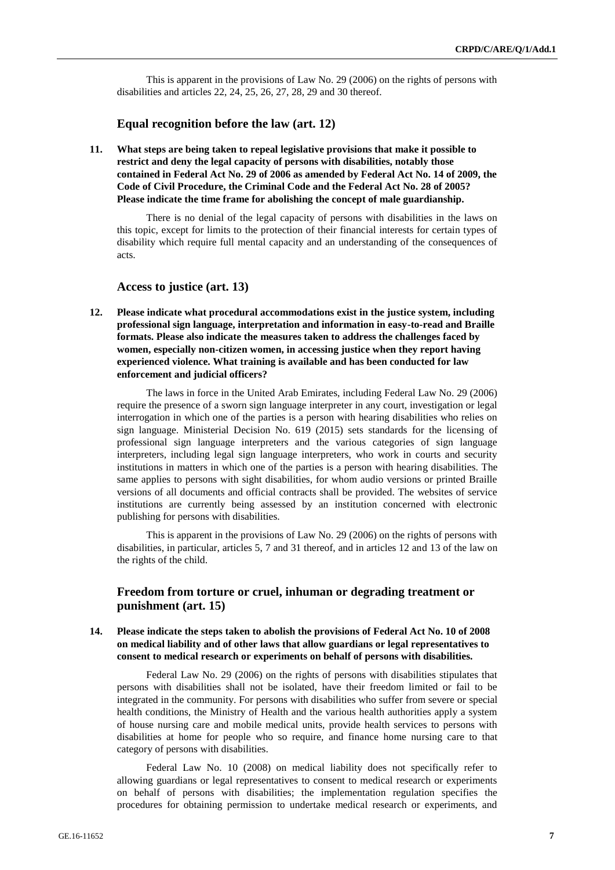This is apparent in the provisions of Law No. 29 (2006) on the rights of persons with disabilities and articles 22, 24, 25, 26, 27, 28, 29 and 30 thereof.

#### **Equal recognition before the law (art. 12)**

**11. What steps are being taken to repeal legislative provisions that make it possible to restrict and deny the legal capacity of persons with disabilities, notably those contained in Federal Act No. 29 of 2006 as amended by Federal Act No. 14 of 2009, the Code of Civil Procedure, the Criminal Code and the Federal Act No. 28 of 2005? Please indicate the time frame for abolishing the concept of male guardianship.**

There is no denial of the legal capacity of persons with disabilities in the laws on this topic, except for limits to the protection of their financial interests for certain types of disability which require full mental capacity and an understanding of the consequences of acts.

#### **Access to justice (art. 13)**

**12. Please indicate what procedural accommodations exist in the justice system, including professional sign language, interpretation and information in easy-to-read and Braille formats. Please also indicate the measures taken to address the challenges faced by women, especially non-citizen women, in accessing justice when they report having experienced violence. What training is available and has been conducted for law enforcement and judicial officers?** 

The laws in force in the United Arab Emirates, including Federal Law No. 29 (2006) require the presence of a sworn sign language interpreter in any court, investigation or legal interrogation in which one of the parties is a person with hearing disabilities who relies on sign language. Ministerial Decision No. 619 (2015) sets standards for the licensing of professional sign language interpreters and the various categories of sign language interpreters, including legal sign language interpreters, who work in courts and security institutions in matters in which one of the parties is a person with hearing disabilities. The same applies to persons with sight disabilities, for whom audio versions or printed Braille versions of all documents and official contracts shall be provided. The websites of service institutions are currently being assessed by an institution concerned with electronic publishing for persons with disabilities.

This is apparent in the provisions of Law No. 29 (2006) on the rights of persons with disabilities, in particular, articles 5, 7 and 31 thereof, and in articles 12 and 13 of the law on the rights of the child.

## **Freedom from torture or cruel, inhuman or degrading treatment or punishment (art. 15)**

**14. Please indicate the steps taken to abolish the provisions of Federal Act No. 10 of 2008 on medical liability and of other laws that allow guardians or legal representatives to consent to medical research or experiments on behalf of persons with disabilities.**

Federal Law No. 29 (2006) on the rights of persons with disabilities stipulates that persons with disabilities shall not be isolated, have their freedom limited or fail to be integrated in the community. For persons with disabilities who suffer from severe or special health conditions, the Ministry of Health and the various health authorities apply a system of house nursing care and mobile medical units, provide health services to persons with disabilities at home for people who so require, and finance home nursing care to that category of persons with disabilities.

Federal Law No. 10 (2008) on medical liability does not specifically refer to allowing guardians or legal representatives to consent to medical research or experiments on behalf of persons with disabilities; the implementation regulation specifies the procedures for obtaining permission to undertake medical research or experiments, and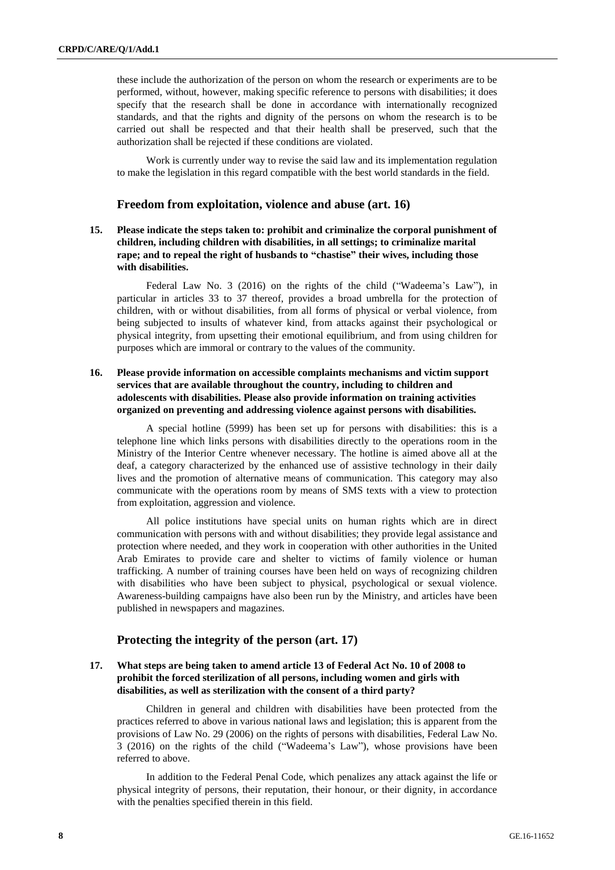these include the authorization of the person on whom the research or experiments are to be performed, without, however, making specific reference to persons with disabilities; it does specify that the research shall be done in accordance with internationally recognized standards, and that the rights and dignity of the persons on whom the research is to be carried out shall be respected and that their health shall be preserved, such that the authorization shall be rejected if these conditions are violated.

Work is currently under way to revise the said law and its implementation regulation to make the legislation in this regard compatible with the best world standards in the field.

#### **Freedom from exploitation, violence and abuse (art. 16)**

**15. Please indicate the steps taken to: prohibit and criminalize the corporal punishment of children, including children with disabilities, in all settings; to criminalize marital rape; and to repeal the right of husbands to "chastise" their wives, including those with disabilities.**

Federal Law No. 3 (2016) on the rights of the child ("Wadeema's Law"), in particular in articles 33 to 37 thereof, provides a broad umbrella for the protection of children, with or without disabilities, from all forms of physical or verbal violence, from being subjected to insults of whatever kind, from attacks against their psychological or physical integrity, from upsetting their emotional equilibrium, and from using children for purposes which are immoral or contrary to the values of the community.

#### **16. Please provide information on accessible complaints mechanisms and victim support services that are available throughout the country, including to children and adolescents with disabilities. Please also provide information on training activities organized on preventing and addressing violence against persons with disabilities.**

A special hotline (5999) has been set up for persons with disabilities: this is a telephone line which links persons with disabilities directly to the operations room in the Ministry of the Interior Centre whenever necessary. The hotline is aimed above all at the deaf, a category characterized by the enhanced use of assistive technology in their daily lives and the promotion of alternative means of communication. This category may also communicate with the operations room by means of SMS texts with a view to protection from exploitation, aggression and violence.

All police institutions have special units on human rights which are in direct communication with persons with and without disabilities; they provide legal assistance and protection where needed, and they work in cooperation with other authorities in the United Arab Emirates to provide care and shelter to victims of family violence or human trafficking. A number of training courses have been held on ways of recognizing children with disabilities who have been subject to physical, psychological or sexual violence. Awareness-building campaigns have also been run by the Ministry, and articles have been published in newspapers and magazines.

#### **Protecting the integrity of the person (art. 17)**

#### **17. What steps are being taken to amend article 13 of Federal Act No. 10 of 2008 to prohibit the forced sterilization of all persons, including women and girls with disabilities, as well as sterilization with the consent of a third party?**

Children in general and children with disabilities have been protected from the practices referred to above in various national laws and legislation; this is apparent from the provisions of Law No. 29 (2006) on the rights of persons with disabilities, Federal Law No. 3 (2016) on the rights of the child ("Wadeema's Law"), whose provisions have been referred to above.

In addition to the Federal Penal Code, which penalizes any attack against the life or physical integrity of persons, their reputation, their honour, or their dignity, in accordance with the penalties specified therein in this field.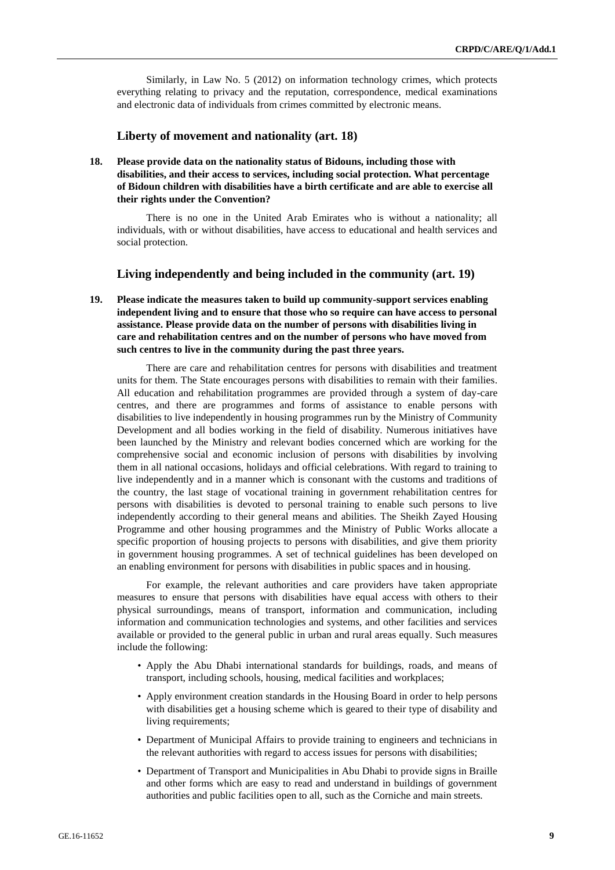Similarly, in Law No. 5 (2012) on information technology crimes, which protects everything relating to privacy and the reputation, correspondence, medical examinations and electronic data of individuals from crimes committed by electronic means.

#### **Liberty of movement and nationality (art. 18)**

**18. Please provide data on the nationality status of Bidouns, including those with disabilities, and their access to services, including social protection. What percentage of Bidoun children with disabilities have a birth certificate and are able to exercise all their rights under the Convention?**

There is no one in the United Arab Emirates who is without a nationality; all individuals, with or without disabilities, have access to educational and health services and social protection.

### **Living independently and being included in the community (art. 19)**

**19. Please indicate the measures taken to build up community-support services enabling independent living and to ensure that those who so require can have access to personal assistance. Please provide data on the number of persons with disabilities living in care and rehabilitation centres and on the number of persons who have moved from such centres to live in the community during the past three years.** 

There are care and rehabilitation centres for persons with disabilities and treatment units for them. The State encourages persons with disabilities to remain with their families. All education and rehabilitation programmes are provided through a system of day-care centres, and there are programmes and forms of assistance to enable persons with disabilities to live independently in housing programmes run by the Ministry of Community Development and all bodies working in the field of disability. Numerous initiatives have been launched by the Ministry and relevant bodies concerned which are working for the comprehensive social and economic inclusion of persons with disabilities by involving them in all national occasions, holidays and official celebrations. With regard to training to live independently and in a manner which is consonant with the customs and traditions of the country, the last stage of vocational training in government rehabilitation centres for persons with disabilities is devoted to personal training to enable such persons to live independently according to their general means and abilities. The Sheikh Zayed Housing Programme and other housing programmes and the Ministry of Public Works allocate a specific proportion of housing projects to persons with disabilities, and give them priority in government housing programmes. A set of technical guidelines has been developed on an enabling environment for persons with disabilities in public spaces and in housing.

For example, the relevant authorities and care providers have taken appropriate measures to ensure that persons with disabilities have equal access with others to their physical surroundings, means of transport, information and communication, including information and communication technologies and systems, and other facilities and services available or provided to the general public in urban and rural areas equally. Such measures include the following:

- Apply the Abu Dhabi international standards for buildings, roads, and means of transport, including schools, housing, medical facilities and workplaces;
- Apply environment creation standards in the Housing Board in order to help persons with disabilities get a housing scheme which is geared to their type of disability and living requirements;
- Department of Municipal Affairs to provide training to engineers and technicians in the relevant authorities with regard to access issues for persons with disabilities;
- Department of Transport and Municipalities in Abu Dhabi to provide signs in Braille and other forms which are easy to read and understand in buildings of government authorities and public facilities open to all, such as the Corniche and main streets.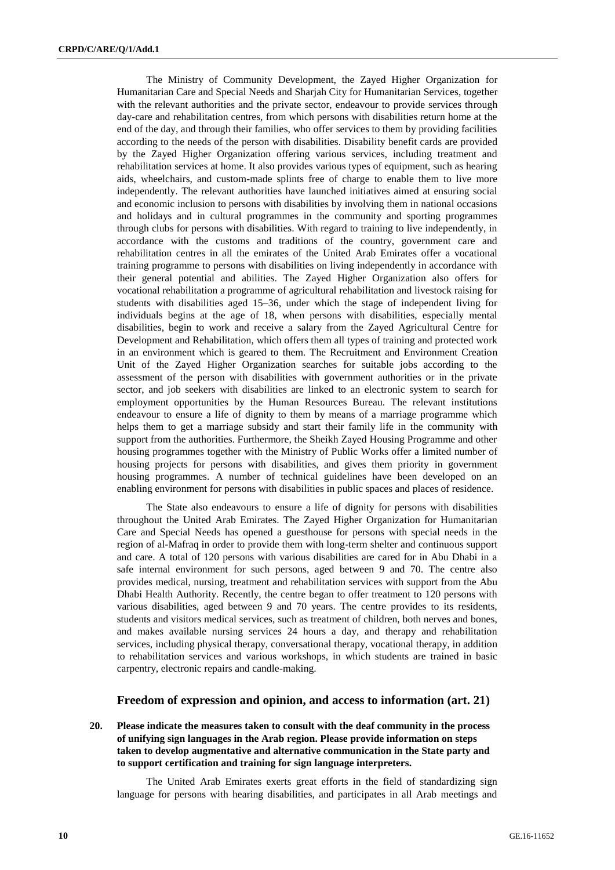The Ministry of Community Development, the Zayed Higher Organization for Humanitarian Care and Special Needs and Sharjah City for Humanitarian Services, together with the relevant authorities and the private sector, endeavour to provide services through day-care and rehabilitation centres, from which persons with disabilities return home at the end of the day, and through their families, who offer services to them by providing facilities according to the needs of the person with disabilities. Disability benefit cards are provided by the Zayed Higher Organization offering various services, including treatment and rehabilitation services at home. It also provides various types of equipment, such as hearing aids, wheelchairs, and custom-made splints free of charge to enable them to live more independently. The relevant authorities have launched initiatives aimed at ensuring social and economic inclusion to persons with disabilities by involving them in national occasions and holidays and in cultural programmes in the community and sporting programmes through clubs for persons with disabilities. With regard to training to live independently, in accordance with the customs and traditions of the country, government care and rehabilitation centres in all the emirates of the United Arab Emirates offer a vocational training programme to persons with disabilities on living independently in accordance with their general potential and abilities. The Zayed Higher Organization also offers for vocational rehabilitation a programme of agricultural rehabilitation and livestock raising for students with disabilities aged 15–36, under which the stage of independent living for individuals begins at the age of 18, when persons with disabilities, especially mental disabilities, begin to work and receive a salary from the Zayed Agricultural Centre for Development and Rehabilitation, which offers them all types of training and protected work in an environment which is geared to them. The Recruitment and Environment Creation Unit of the Zayed Higher Organization searches for suitable jobs according to the assessment of the person with disabilities with government authorities or in the private sector, and job seekers with disabilities are linked to an electronic system to search for employment opportunities by the Human Resources Bureau. The relevant institutions endeavour to ensure a life of dignity to them by means of a marriage programme which helps them to get a marriage subsidy and start their family life in the community with support from the authorities. Furthermore, the Sheikh Zayed Housing Programme and other housing programmes together with the Ministry of Public Works offer a limited number of housing projects for persons with disabilities, and gives them priority in government housing programmes. A number of technical guidelines have been developed on an enabling environment for persons with disabilities in public spaces and places of residence.

The State also endeavours to ensure a life of dignity for persons with disabilities throughout the United Arab Emirates. The Zayed Higher Organization for Humanitarian Care and Special Needs has opened a guesthouse for persons with special needs in the region of al-Mafraq in order to provide them with long-term shelter and continuous support and care. A total of 120 persons with various disabilities are cared for in Abu Dhabi in a safe internal environment for such persons, aged between 9 and 70. The centre also provides medical, nursing, treatment and rehabilitation services with support from the Abu Dhabi Health Authority. Recently, the centre began to offer treatment to 120 persons with various disabilities, aged between 9 and 70 years. The centre provides to its residents, students and visitors medical services, such as treatment of children, both nerves and bones, and makes available nursing services 24 hours a day, and therapy and rehabilitation services, including physical therapy, conversational therapy, vocational therapy, in addition to rehabilitation services and various workshops, in which students are trained in basic carpentry, electronic repairs and candle-making.

#### **Freedom of expression and opinion, and access to information (art. 21)**

#### **20. Please indicate the measures taken to consult with the deaf community in the process of unifying sign languages in the Arab region. Please provide information on steps taken to develop augmentative and alternative communication in the State party and to support certification and training for sign language interpreters.**

The United Arab Emirates exerts great efforts in the field of standardizing sign language for persons with hearing disabilities, and participates in all Arab meetings and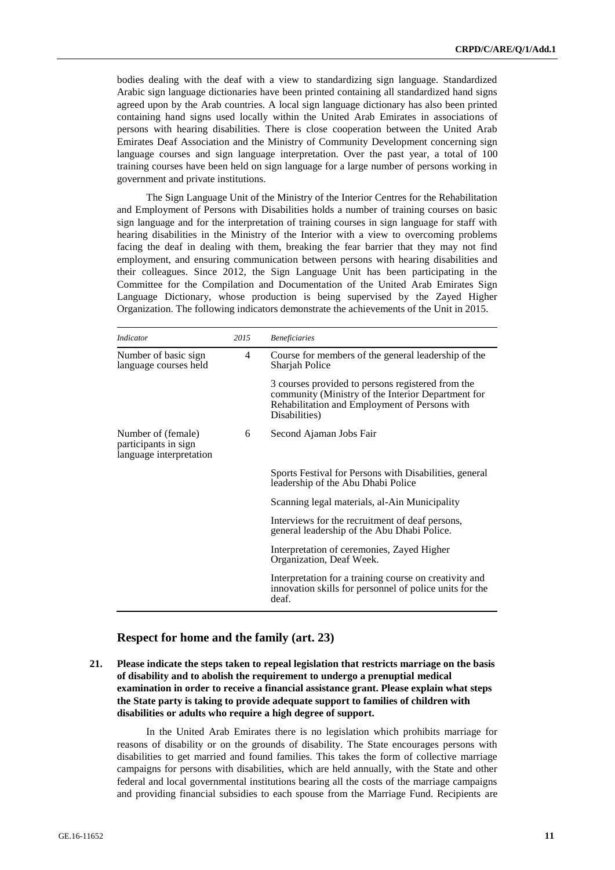bodies dealing with the deaf with a view to standardizing sign language. Standardized Arabic sign language dictionaries have been printed containing all standardized hand signs agreed upon by the Arab countries. A local sign language dictionary has also been printed containing hand signs used locally within the United Arab Emirates in associations of persons with hearing disabilities. There is close cooperation between the United Arab Emirates Deaf Association and the Ministry of Community Development concerning sign language courses and sign language interpretation. Over the past year, a total of 100 training courses have been held on sign language for a large number of persons working in government and private institutions.

The Sign Language Unit of the Ministry of the Interior Centres for the Rehabilitation and Employment of Persons with Disabilities holds a number of training courses on basic sign language and for the interpretation of training courses in sign language for staff with hearing disabilities in the Ministry of the Interior with a view to overcoming problems facing the deaf in dealing with them, breaking the fear barrier that they may not find employment, and ensuring communication between persons with hearing disabilities and their colleagues. Since 2012, the Sign Language Unit has been participating in the Committee for the Compilation and Documentation of the United Arab Emirates Sign Language Dictionary, whose production is being supervised by the Zayed Higher Organization. The following indicators demonstrate the achievements of the Unit in 2015.

| <i>Indicator</i>                                                      | 2015 | <b>Beneficiaries</b>                                                                                                                                                      |  |
|-----------------------------------------------------------------------|------|---------------------------------------------------------------------------------------------------------------------------------------------------------------------------|--|
| Number of basic sign<br>language courses held                         | 4    | Course for members of the general leadership of the<br>Sharjah Police                                                                                                     |  |
|                                                                       |      | 3 courses provided to persons registered from the<br>community (Ministry of the Interior Department for<br>Rehabilitation and Employment of Persons with<br>Disabilities) |  |
| Number of (female)<br>participants in sign<br>language interpretation | 6    | Second Ajaman Jobs Fair                                                                                                                                                   |  |
|                                                                       |      | Sports Festival for Persons with Disabilities, general<br>leadership of the Abu Dhabi Police                                                                              |  |
|                                                                       |      | Scanning legal materials, al-Ain Municipality                                                                                                                             |  |
|                                                                       |      | Interviews for the recruitment of deaf persons,<br>general leadership of the Abu Dhabi Police.                                                                            |  |
|                                                                       |      | Interpretation of ceremonies, Zayed Higher<br>Organization, Deaf Week.                                                                                                    |  |
|                                                                       |      | Interpretation for a training course on creativity and<br>innovation skills for personnel of police units for the<br>deaf.                                                |  |

### **Respect for home and the family (art. 23)**

**21. Please indicate the steps taken to repeal legislation that restricts marriage on the basis of disability and to abolish the requirement to undergo a prenuptial medical examination in order to receive a financial assistance grant. Please explain what steps the State party is taking to provide adequate support to families of children with disabilities or adults who require a high degree of support.**

In the United Arab Emirates there is no legislation which prohibits marriage for reasons of disability or on the grounds of disability. The State encourages persons with disabilities to get married and found families. This takes the form of collective marriage campaigns for persons with disabilities, which are held annually, with the State and other federal and local governmental institutions bearing all the costs of the marriage campaigns and providing financial subsidies to each spouse from the Marriage Fund. Recipients are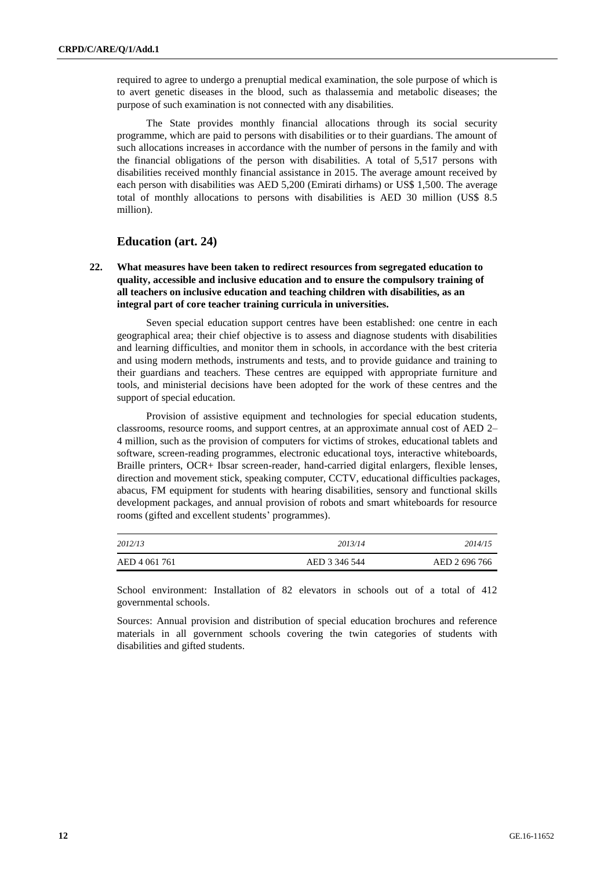required to agree to undergo a prenuptial medical examination, the sole purpose of which is to avert genetic diseases in the blood, such as thalassemia and metabolic diseases; the purpose of such examination is not connected with any disabilities.

The State provides monthly financial allocations through its social security programme, which are paid to persons with disabilities or to their guardians. The amount of such allocations increases in accordance with the number of persons in the family and with the financial obligations of the person with disabilities. A total of 5,517 persons with disabilities received monthly financial assistance in 2015. The average amount received by each person with disabilities was AED 5,200 (Emirati dirhams) or US\$ 1,500. The average total of monthly allocations to persons with disabilities is AED 30 million (US\$ 8.5 million).

### **Education (art. 24)**

**22. What measures have been taken to redirect resources from segregated education to quality, accessible and inclusive education and to ensure the compulsory training of all teachers on inclusive education and teaching children with disabilities, as an integral part of core teacher training curricula in universities.** 

Seven special education support centres have been established: one centre in each geographical area; their chief objective is to assess and diagnose students with disabilities and learning difficulties, and monitor them in schools, in accordance with the best criteria and using modern methods, instruments and tests, and to provide guidance and training to their guardians and teachers. These centres are equipped with appropriate furniture and tools, and ministerial decisions have been adopted for the work of these centres and the support of special education.

Provision of assistive equipment and technologies for special education students, classrooms, resource rooms, and support centres, at an approximate annual cost of AED 2– 4 million, such as the provision of computers for victims of strokes, educational tablets and software, screen-reading programmes, electronic educational toys, interactive whiteboards, Braille printers, OCR+ Ibsar screen-reader, hand-carried digital enlargers, flexible lenses, direction and movement stick, speaking computer, CCTV, educational difficulties packages, abacus, FM equipment for students with hearing disabilities, sensory and functional skills development packages, and annual provision of robots and smart whiteboards for resource rooms (gifted and excellent students' programmes).

| 2012/13       | 2013/14       | 2014/15       |
|---------------|---------------|---------------|
| AED 4 061 761 | AED 3 346 544 | AED 2 696 766 |

School environment: Installation of 82 elevators in schools out of a total of 412 governmental schools.

Sources: Annual provision and distribution of special education brochures and reference materials in all government schools covering the twin categories of students with disabilities and gifted students.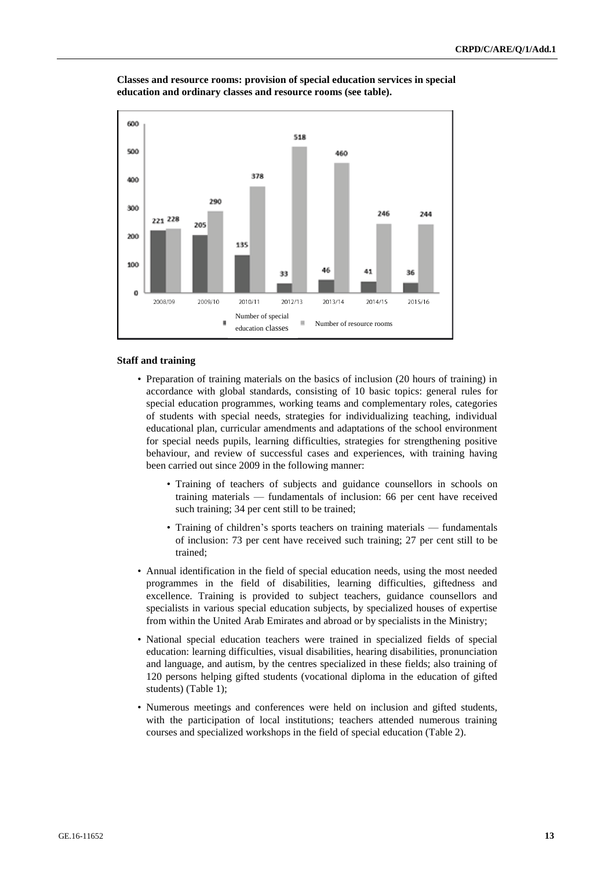

**Classes and resource rooms: provision of special education services in special education and ordinary classes and resource rooms (see table).**

#### **Staff and training**

- Preparation of training materials on the basics of inclusion (20 hours of training) in accordance with global standards, consisting of 10 basic topics: general rules for special education programmes, working teams and complementary roles, categories of students with special needs, strategies for individualizing teaching, individual educational plan, curricular amendments and adaptations of the school environment for special needs pupils, learning difficulties, strategies for strengthening positive behaviour, and review of successful cases and experiences, with training having been carried out since 2009 in the following manner:
	- Training of teachers of subjects and guidance counsellors in schools on training materials — fundamentals of inclusion: 66 per cent have received such training; 34 per cent still to be trained;
	- Training of children's sports teachers on training materials fundamentals of inclusion: 73 per cent have received such training; 27 per cent still to be trained;
- Annual identification in the field of special education needs, using the most needed programmes in the field of disabilities, learning difficulties, giftedness and excellence. Training is provided to subject teachers, guidance counsellors and specialists in various special education subjects, by specialized houses of expertise from within the United Arab Emirates and abroad or by specialists in the Ministry;
- National special education teachers were trained in specialized fields of special education: learning difficulties, visual disabilities, hearing disabilities, pronunciation and language, and autism, by the centres specialized in these fields; also training of 120 persons helping gifted students (vocational diploma in the education of gifted students) (Table 1);
- Numerous meetings and conferences were held on inclusion and gifted students, with the participation of local institutions; teachers attended numerous training courses and specialized workshops in the field of special education (Table 2).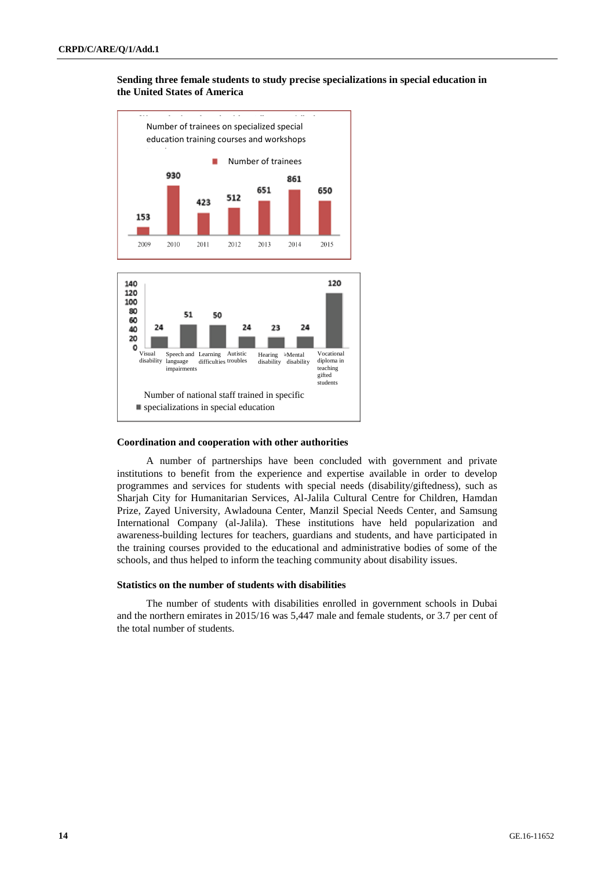#### **Sending three female students to study precise specializations in special education in the United States of America**



#### **Coordination and cooperation with other authorities**

A number of partnerships have been concluded with government and private institutions to benefit from the experience and expertise available in order to develop programmes and services for students with special needs (disability/giftedness), such as Sharjah City for Humanitarian Services, Al-Jalila Cultural Centre for Children, Hamdan Prize, Zayed University, Awladouna Center, Manzil Special Needs Center, and Samsung International Company (al-Jalila). These institutions have held popularization and awareness-building lectures for teachers, guardians and students, and have participated in the training courses provided to the educational and administrative bodies of some of the schools, and thus helped to inform the teaching community about disability issues.

#### **Statistics on the number of students with disabilities**

The number of students with disabilities enrolled in government schools in Dubai and the northern emirates in 2015/16 was 5,447 male and female students, or 3.7 per cent of the total number of students.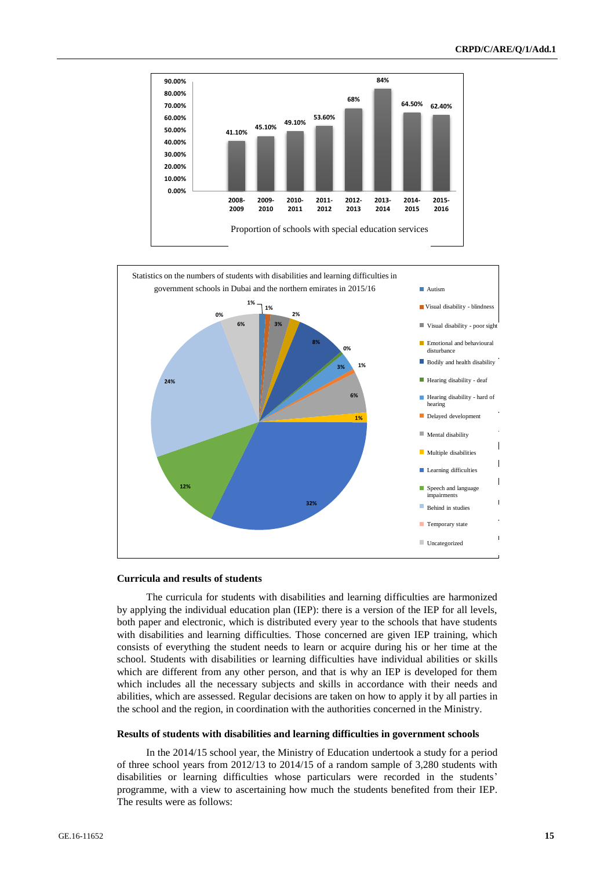



#### **Curricula and results of students**

The curricula for students with disabilities and learning difficulties are harmonized by applying the individual education plan (IEP): there is a version of the IEP for all levels, both paper and electronic, which is distributed every year to the schools that have students with disabilities and learning difficulties. Those concerned are given IEP training, which consists of everything the student needs to learn or acquire during his or her time at the school. Students with disabilities or learning difficulties have individual abilities or skills which are different from any other person, and that is why an IEP is developed for them which includes all the necessary subjects and skills in accordance with their needs and abilities, which are assessed. Regular decisions are taken on how to apply it by all parties in the school and the region, in coordination with the authorities concerned in the Ministry.

#### **Results of students with disabilities and learning difficulties in government schools**

In the 2014/15 school year, the Ministry of Education undertook a study for a period of three school years from 2012/13 to 2014/15 of a random sample of 3,280 students with disabilities or learning difficulties whose particulars were recorded in the students' programme, with a view to ascertaining how much the students benefited from their IEP. The results were as follows: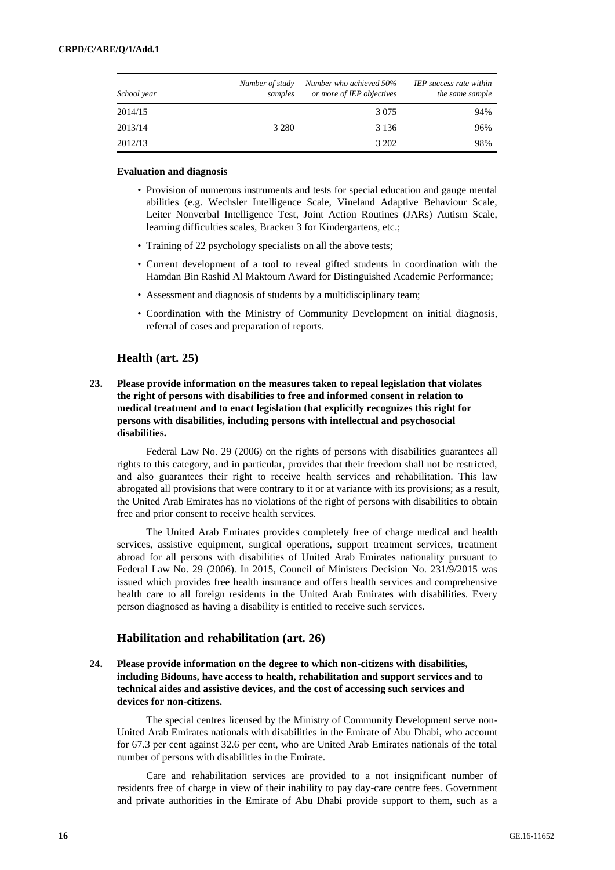| School year | Number of study<br>samples | Number who achieved 50%<br>or more of IEP objectives | <b>IEP</b> success rate within<br>the same sample |
|-------------|----------------------------|------------------------------------------------------|---------------------------------------------------|
| 2014/15     |                            | 3 0 7 5                                              | 94%                                               |
| 2013/14     | 3 2 8 0                    | 3 1 3 6                                              | 96%                                               |
| 2012/13     |                            | 3 202                                                | 98%                                               |

#### **Evaluation and diagnosis**

- Provision of numerous instruments and tests for special education and gauge mental abilities (e.g. Wechsler Intelligence Scale, Vineland Adaptive Behaviour Scale, Leiter Nonverbal Intelligence Test, Joint Action Routines (JARs) Autism Scale, learning difficulties scales, Bracken 3 for Kindergartens, etc.;
- Training of 22 psychology specialists on all the above tests;
- Current development of a tool to reveal gifted students in coordination with the Hamdan Bin Rashid Al Maktoum Award for Distinguished Academic Performance;
- Assessment and diagnosis of students by a multidisciplinary team;
- Coordination with the Ministry of Community Development on initial diagnosis, referral of cases and preparation of reports.

## **Health (art. 25)**

**23. Please provide information on the measures taken to repeal legislation that violates the right of persons with disabilities to free and informed consent in relation to medical treatment and to enact legislation that explicitly recognizes this right for persons with disabilities, including persons with intellectual and psychosocial disabilities.** 

Federal Law No. 29 (2006) on the rights of persons with disabilities guarantees all rights to this category, and in particular, provides that their freedom shall not be restricted, and also guarantees their right to receive health services and rehabilitation. This law abrogated all provisions that were contrary to it or at variance with its provisions; as a result, the United Arab Emirates has no violations of the right of persons with disabilities to obtain free and prior consent to receive health services.

The United Arab Emirates provides completely free of charge medical and health services, assistive equipment, surgical operations, support treatment services, treatment abroad for all persons with disabilities of United Arab Emirates nationality pursuant to Federal Law No. 29 (2006). In 2015, Council of Ministers Decision No. 231/9/2015 was issued which provides free health insurance and offers health services and comprehensive health care to all foreign residents in the United Arab Emirates with disabilities. Every person diagnosed as having a disability is entitled to receive such services.

#### **Habilitation and rehabilitation (art. 26)**

**24. Please provide information on the degree to which non-citizens with disabilities, including Bidouns, have access to health, rehabilitation and support services and to technical aides and assistive devices, and the cost of accessing such services and devices for non-citizens.**

The special centres licensed by the Ministry of Community Development serve non-United Arab Emirates nationals with disabilities in the Emirate of Abu Dhabi, who account for 67.3 per cent against 32.6 per cent, who are United Arab Emirates nationals of the total number of persons with disabilities in the Emirate.

Care and rehabilitation services are provided to a not insignificant number of residents free of charge in view of their inability to pay day-care centre fees. Government and private authorities in the Emirate of Abu Dhabi provide support to them, such as a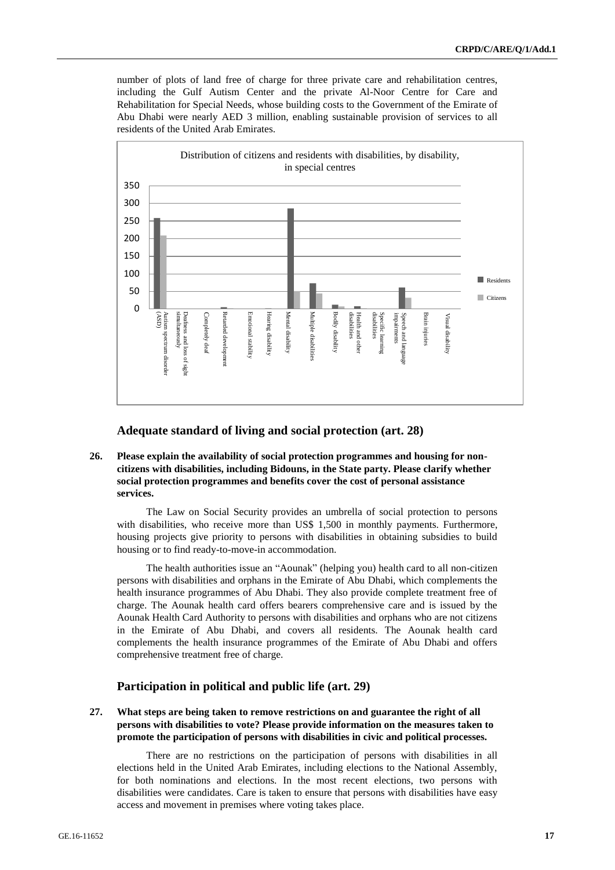number of plots of land free of charge for three private care and rehabilitation centres, including the Gulf Autism Center and the private Al-Noor Centre for Care and Rehabilitation for Special Needs, whose building costs to the Government of the Emirate of Abu Dhabi were nearly AED 3 million, enabling sustainable provision of services to all residents of the United Arab Emirates.



**Adequate standard of living and social protection (art. 28)**

**26. Please explain the availability of social protection programmes and housing for noncitizens with disabilities, including Bidouns, in the State party. Please clarify whether social protection programmes and benefits cover the cost of personal assistance services.**

The Law on Social Security provides an umbrella of social protection to persons with disabilities, who receive more than US\$ 1,500 in monthly payments. Furthermore, housing projects give priority to persons with disabilities in obtaining subsidies to build housing or to find ready-to-move-in accommodation.

The health authorities issue an "Aounak" (helping you) health card to all non-citizen persons with disabilities and orphans in the Emirate of Abu Dhabi, which complements the health insurance programmes of Abu Dhabi. They also provide complete treatment free of charge. The Aounak health card offers bearers comprehensive care and is issued by the Aounak Health Card Authority to persons with disabilities and orphans who are not citizens in the Emirate of Abu Dhabi, and covers all residents. The Aounak health card complements the health insurance programmes of the Emirate of Abu Dhabi and offers comprehensive treatment free of charge.

### **Participation in political and public life (art. 29)**

**27. What steps are being taken to remove restrictions on and guarantee the right of all persons with disabilities to vote? Please provide information on the measures taken to promote the participation of persons with disabilities in civic and political processes.** 

There are no restrictions on the participation of persons with disabilities in all elections held in the United Arab Emirates, including elections to the National Assembly, for both nominations and elections. In the most recent elections, two persons with disabilities were candidates. Care is taken to ensure that persons with disabilities have easy access and movement in premises where voting takes place.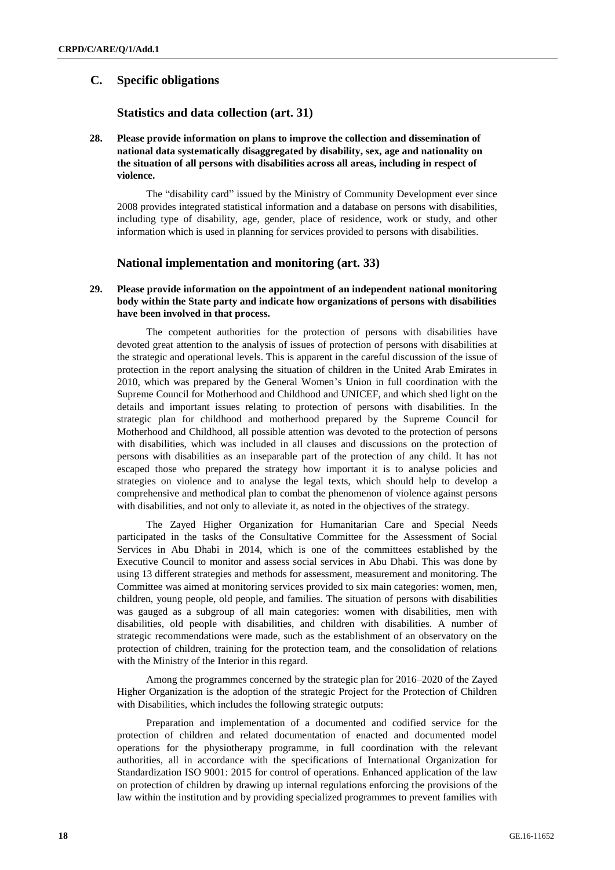## **C. Specific obligations**

#### **Statistics and data collection (art. 31)**

**28. Please provide information on plans to improve the collection and dissemination of national data systematically disaggregated by disability, sex, age and nationality on the situation of all persons with disabilities across all areas, including in respect of violence.**

The "disability card" issued by the Ministry of Community Development ever since 2008 provides integrated statistical information and a database on persons with disabilities, including type of disability, age, gender, place of residence, work or study, and other information which is used in planning for services provided to persons with disabilities.

### **National implementation and monitoring (art. 33)**

#### **29. Please provide information on the appointment of an independent national monitoring body within the State party and indicate how organizations of persons with disabilities have been involved in that process.**

The competent authorities for the protection of persons with disabilities have devoted great attention to the analysis of issues of protection of persons with disabilities at the strategic and operational levels. This is apparent in the careful discussion of the issue of protection in the report analysing the situation of children in the United Arab Emirates in 2010, which was prepared by the General Women's Union in full coordination with the Supreme Council for Motherhood and Childhood and UNICEF, and which shed light on the details and important issues relating to protection of persons with disabilities. In the strategic plan for childhood and motherhood prepared by the Supreme Council for Motherhood and Childhood, all possible attention was devoted to the protection of persons with disabilities, which was included in all clauses and discussions on the protection of persons with disabilities as an inseparable part of the protection of any child. It has not escaped those who prepared the strategy how important it is to analyse policies and strategies on violence and to analyse the legal texts, which should help to develop a comprehensive and methodical plan to combat the phenomenon of violence against persons with disabilities, and not only to alleviate it, as noted in the objectives of the strategy.

The Zayed Higher Organization for Humanitarian Care and Special Needs participated in the tasks of the Consultative Committee for the Assessment of Social Services in Abu Dhabi in 2014, which is one of the committees established by the Executive Council to monitor and assess social services in Abu Dhabi. This was done by using 13 different strategies and methods for assessment, measurement and monitoring. The Committee was aimed at monitoring services provided to six main categories: women, men, children, young people, old people, and families. The situation of persons with disabilities was gauged as a subgroup of all main categories: women with disabilities, men with disabilities, old people with disabilities, and children with disabilities. A number of strategic recommendations were made, such as the establishment of an observatory on the protection of children, training for the protection team, and the consolidation of relations with the Ministry of the Interior in this regard.

Among the programmes concerned by the strategic plan for 2016–2020 of the Zayed Higher Organization is the adoption of the strategic Project for the Protection of Children with Disabilities, which includes the following strategic outputs:

Preparation and implementation of a documented and codified service for the protection of children and related documentation of enacted and documented model operations for the physiotherapy programme, in full coordination with the relevant authorities, all in accordance with the specifications of International Organization for Standardization ISO 9001: 2015 for control of operations. Enhanced application of the law on protection of children by drawing up internal regulations enforcing the provisions of the law within the institution and by providing specialized programmes to prevent families with